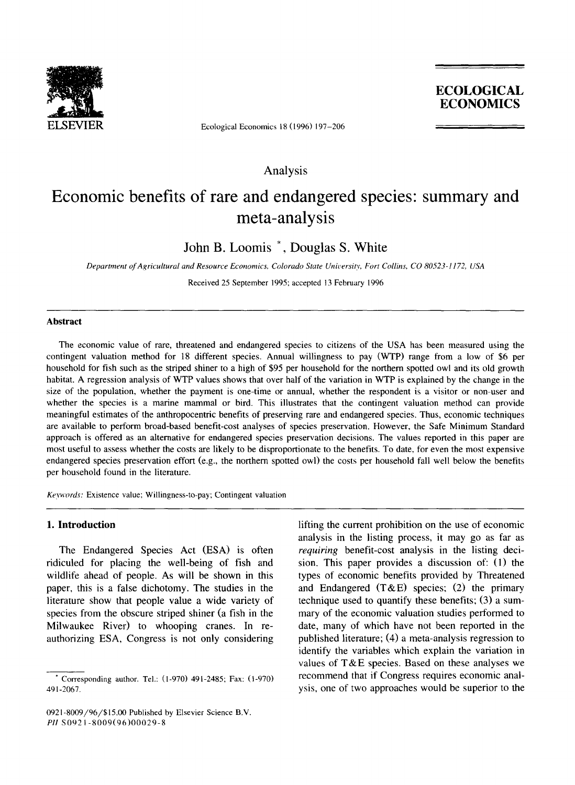

Ecological Economics 18 (1996) 197-206

**ECOLOGICAL ECONOMICS** 

### Analysis

# **Economic benefits of rare and endangered species: summary and meta-analysis**

## John B. Loomis \*, Douglas S. White

*Department of Agricultural and Resource Economics, Colorado State University, Fort Collins, CO 80523-1172, USA* 

Received 25 September 1995; accepted 13 February 1996

#### **Abstract**

The economic value of rare, threatened and endangered species to citizens of the USA has been measured using the contingent valuation method for 18 different species. Annual willingness to pay (WTP) range from a low of \$6 per household for fish such as the striped shiner to a high of \$95 per household for the northern spotted owl and its old growth habitat. A regression analysis of WTP values shows that over half of the variation in WTP is explained by the change in the size of the population, whether the payment is one-time or annual, whether the respondent is a visitor or non-user and whether the species is a marine mammal or bird. This illustrates that the contingent valuation method can provide meaningful estimates of the anthropocentric benefits of preserving rare and endangered species, Thus, economic techniques are available to perform broad-based benefit-cost analyses of species preservation. However, the Safe Minimum Standard approach is offered as an alternative for endangered species preservation decisions. The values reported in this paper are most useful to assess whether the costs are likely to be disproportionate to the benefits. To date, for even the most expensive endangered species preservation effort (e.g., the northern spotted owl) the costs per household fall well below the benefits per household found in the literature.

*Keywords:* Existence value: Willingness-to-pay; Contingent valuation

#### **1. Introduction**

The Endangered Species Act (ESA) is often ridiculed for placing the well-being of fish and wildlife ahead of people. As will be shown in this paper, this is a false dichotomy. The studies in the literature show that people value a wide variety of species from the obscure striped shiner (a fish in the Milwaukee River) to whooping cranes. In reauthorizing ESA, Congress is not only considering lifting the current prohibition on the use of economic analysis in the listing process, it may go as far as *requiring* benefit-cost analysis in the listing decision. This paper provides a discussion of: (1) the types of economic benefits provided by Threatened and Endangered  $(T & E)$  species; (2) the primary technique used to quantify these benefits; (3) a summary of the economic valuation studies performed to date, many of which have not been reported in the published literature; (4) a meta-analysis regression to identify the variables which explain the variation in values of T&E species. Based on these analyses we recommend that if Congress requires economic analysis, one of two approaches would be superior to the

**<sup>\*</sup>** Corresponding author. Tel.: (1-970) 491-2485; Fax: (1-970) 491-2067.

<sup>0921-8009/96/\$15.00</sup> Published by Elsevier Science B.V. *PII* S0921-8009(96)00029-8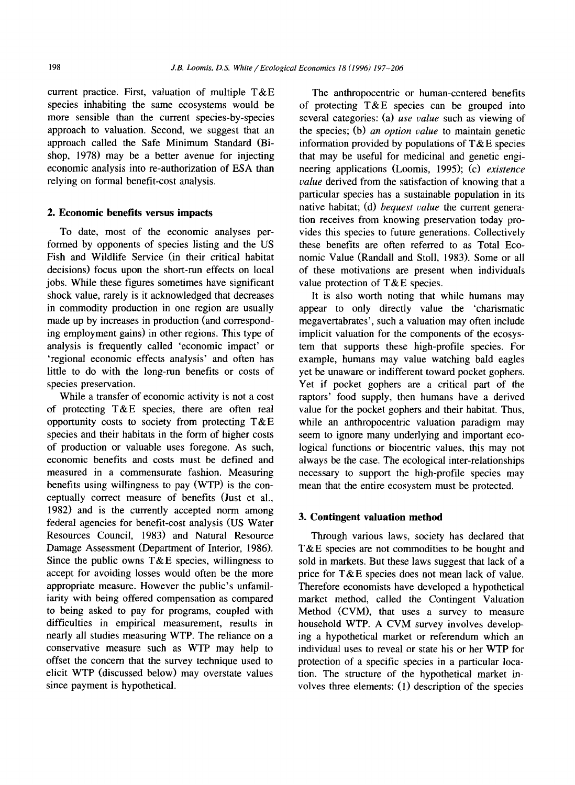current practice. First, valuation of multiple T&E species inhabiting the same ecosystems would be more sensible than the current species-by-species approach to valuation. Second, we suggest that an approach called the Safe Minimum Standard (Bishop, 1978) may be a better avenue for injecting economic analysis into re-authorization of ESA than relying on formal benefit-cost analysis.

#### **2. Economic benefits versus impacts**

To date, most of the economic analyses performed by opponents of species listing and the US Fish and Wildlife Service (in their critical habitat decisions) focus upon the short-run effects on local jobs. While these figures sometimes have significant shock value, rarely is it acknowledged that decreases in commodity production in one region are usually made up by increases in production (and corresponding employment gains) in other regions. This type of analysis is frequently called 'economic impact' or 'regional economic effects analysis' and often has little to do with the long-run benefits or costs of species preservation.

While a transfer of economic activity is not a cost of protecting T&E species, there are often real opportunity costs to society from protecting T&E species and their habitats in the form of higher costs of production or valuable uses foregone. As such, economic benefits and costs must be defined and measured in a commensurate fashion. Measuring benefits using willingness to pay (WTP) is the conceptually correct measure of benefits (Just et al., 1982) and is the currently accepted norm among federal agencies for benefit-cost analysis (US Water Resources Council, 1983) and Natural Resource Damage Assessment (Department of Interior, 1986). Since the public owns  $T\&E$  species, willingness to accept for avoiding losses would often be the more appropriate measure. However the public's unfamiliarity with being offered compensation as compared to being asked to pay for programs, coupled with difficulties in empirical measurement, results in nearly all studies measuring WTP. The reliance on a conservative measure such as WTP may help to offset the concern that the survey technique used to elicit WTP (discussed below) may overstate values since payment is hypothetical.

The anthropocentric or human-centered benefits of protecting T&E species can be grouped into several categories: (a) *use value* such as viewing of the species; (b) *an option value* to maintain genetic information provided by populations of  $T & E$  species that may be useful for medicinal and genetic engineering applications (Loomis, 1995); (c) *existence value* derived from the satisfaction of knowing that a particular species has a sustainable population in its native habitat; (d) *bequest value the* current generation receives from knowing preservation today provides this species to future generations. Collectively these benefits are often referred to as Total Economic Value (Randall and Stoll, 1983). Some or all of these motivations are present when individuals value protection of T&E species.

It is also worth noting that while humans may appear to only directly value the 'charismatic megavertabrates', such a valuation may often include implicit valuation for the components of the ecosystem that supports these high-profile species. For example, humans may value watching bald eagles vet be unaware or indifferent toward pocket gophers. Yet if pocket gophers are a critical part of the raptors' food supply, then humans have a derived value for the pocket gophers and their habitat. Thus, while an anthropocentric valuation paradigm may seem to ignore many underlying and important ecological functions or biocentric values, this may not always be the case. The ecological inter-relationships necessary to support the high-profile species may mean that the entire ecosystem must be protected.

#### **3. Contingent valuation method**

Through various laws, society has declared that T&E species are not commodities to be bought and sold in markets. But these laws suggest that lack of a price for T&E species does not mean lack of value. Therefore economists have developed a hypothetical market method, called the Contingent Valuation Method (CVM), that uses a survey to measure household WTP. A CVM survey involves developing a hypothetical market or referendum which an individual uses to reveal or state his or her WTP for protection of a specific species in a particular location. The structure of the hypothetical market involves three elements: (1) description of the species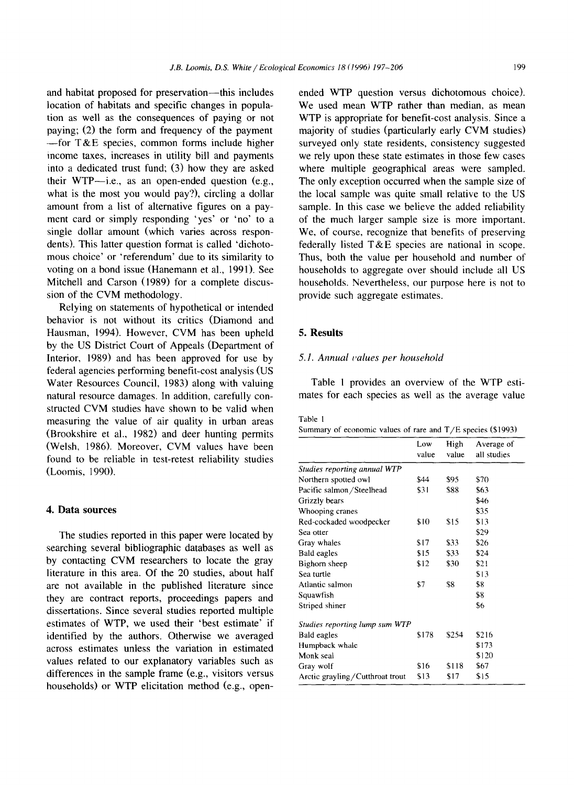and habitat proposed for preservation--this includes location of habitats and specific changes in population as well as the consequences of paying or not paying; (2) the form and frequency of the payment  $-$ for T&E species, common forms include higher income taxes, increases in utility bill and payments into a dedicated trust fund; (3) how they are asked their WTP--i.e., as an open-ended question (e.g., what is the most you would pay?), circling a dollar amount from a list of alternative figures on a payment card or simply responding 'yes' or 'no' to a single dollar amount (which varies across respondents). This latter question format is called 'dichotomous choice' or 'referendum' due to its similarity to voting on a bond issue (Hanemann et al., 1991). See Mitchell and Carson (1989) for a complete discussion of the CVM methodology.

Relying on statements of hypothetical or intended behavior is not without its critics (Diamond and Hausman, 1994). However, CVM has been upheld by the US District Court of Appeals (Department of Interior, 1989) and has been approved for use by federal agencies performing benefit-cost analysis (US Water Resources Council, 1983) along with valuing natural resource damages. In addition, carefully constructed CVM studies have shown to be valid when measuring the value of air quality in urban areas (Brookshire et al., 1982) and deer hunting permits (Welsh, 1986). Moreover, CVM values have been found to be reliable in test-retest reliability studies (Loomis, 1990).

#### **4. Data sources**

The studies reported in this paper were located by searching several bibliographic databases as well as by contacting CVM researchers to locate the gray literature in this area. Of the 20 studies, about half are not available in the published literature since they are contract reports, proceedings papers and dissertations. Since several studies reported multiple estimates of WTP, we used their 'best estimate' if identified by the authors. Otherwise we averaged across estimates unless the variation in estimated values related to our explanatory variables such as differences in the sample frame (e.g., visitors versus households) or WTP elicitation method (e.g., openended WTP question versus dichotomous choice). We used mean WTP rather than median, as mean WTP is appropriate for benefit-cost analysis. Since a majority of studies (particularly early CVM studies) surveyed only state residents, consistency suggested we rely upon these state estimates in those few cases where multiple geographical areas were sampled. The only exception occurred when the sample size of the local sample was quite small relative to the US sample. In this case we believe the added reliability of the much larger sample size is more important. We, of course, recognize that benefits of preserving federally listed T&E species are national in scope. Thus, both the value per household and number of households to aggregate over should include all US households. Nevertheless, our purpose here is not to provide such aggregate estimates.

#### **5. Results**

#### *5.1. Annual i,alues per household*

Table 1 provides an overview of the WTP estimates for each species as well as the average value

| anle |  |
|------|--|
|------|--|

| Summary of economic values of rare and $T/E$ species (\$1993) |  |  |  |  |  |  |  |  |  |
|---------------------------------------------------------------|--|--|--|--|--|--|--|--|--|
|---------------------------------------------------------------|--|--|--|--|--|--|--|--|--|

|                                 | Low<br>value | High<br>value | Average of<br>all studies |
|---------------------------------|--------------|---------------|---------------------------|
| Studies reporting annual WTP    |              |               |                           |
| Northern spotted owl            | \$44         | \$95          | \$70                      |
| Pacific salmon/Steelhead        | \$31         | \$88          | \$63                      |
| Grizzly bears                   |              |               | \$46                      |
| Whooping cranes                 |              |               | \$35                      |
| Red-cockaded woodpecker         | \$10         | \$15          | \$13                      |
| Sea otter                       |              |               | \$29                      |
| Gray whales                     | \$17         | \$33          | \$26                      |
| Bald eagles                     | \$15         | \$33          | \$24                      |
| Bighorn sheep                   | \$12         | \$30          | \$21                      |
| Sea turtle                      |              |               | \$13                      |
| Atlantic salmon                 | \$7          | \$8           | \$8                       |
| Squawfish                       |              |               | \$8                       |
| Striped shiner                  |              |               | \$6                       |
| Studies reporting lump sum WTP  |              |               |                           |
| Bald eagles                     | \$178        | \$254         | \$216                     |
| Humpback whale                  |              |               | \$173                     |
| Monk seal                       |              |               | \$120                     |
| Gray wolf                       | \$16         | \$118         | \$67                      |
| Arctic grayling/Cutthroat trout | \$13         | \$17          | \$15                      |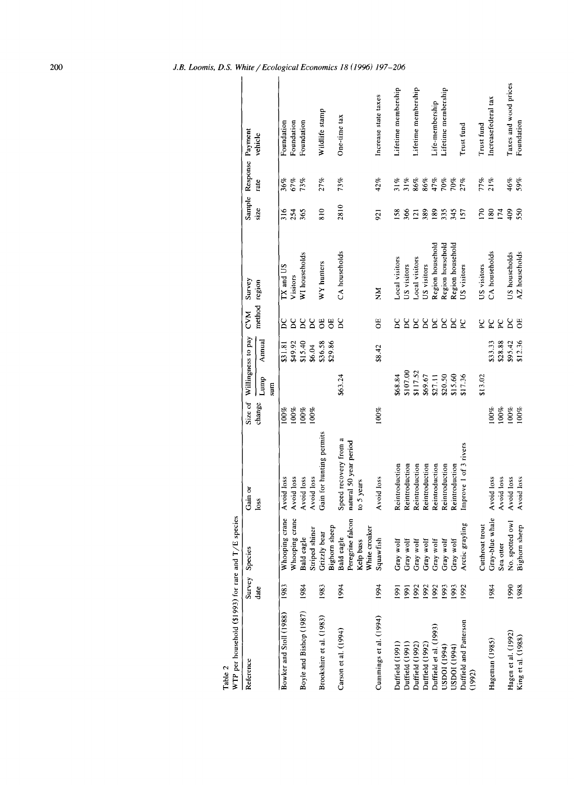| WTP per household $(51993)$ for rare and T/E species |      |                                                                                                                                                                                                                                                                                                                                                                                                                                                                                                                                                                       |                          |         |             |                    |                |                  |                |                         |                       |
|------------------------------------------------------|------|-----------------------------------------------------------------------------------------------------------------------------------------------------------------------------------------------------------------------------------------------------------------------------------------------------------------------------------------------------------------------------------------------------------------------------------------------------------------------------------------------------------------------------------------------------------------------|--------------------------|---------|-------------|--------------------|----------------|------------------|----------------|-------------------------|-----------------------|
| Reference                                            |      | Survey Species                                                                                                                                                                                                                                                                                                                                                                                                                                                                                                                                                        | Gain or                  | Size of |             | Willingness to pay | <b>NAC</b>     | Survey           |                | Sample Response Payment |                       |
|                                                      | date |                                                                                                                                                                                                                                                                                                                                                                                                                                                                                                                                                                       | loss                     | change  | Lump<br>sum | Annual             | method         | region           | size           | rate                    | vehicle               |
|                                                      |      |                                                                                                                                                                                                                                                                                                                                                                                                                                                                                                                                                                       |                          |         |             |                    |                |                  | 316            |                         |                       |
| Bowker and Stoll (1988)                              | 1983 | Whooping crane                                                                                                                                                                                                                                                                                                                                                                                                                                                                                                                                                        | Avoid loss               | 100%    |             | \$31.81            | S              | TX and US        |                | 36%                     | Foundation            |
|                                                      |      | Whooping crane                                                                                                                                                                                                                                                                                                                                                                                                                                                                                                                                                        | Avoid loss               | 100%    |             | \$49.92            | 2              | Visitors         | 254            | 67%                     | Foundation            |
| Boyle and Bishop (1987)                              | 1984 | Bald eagle                                                                                                                                                                                                                                                                                                                                                                                                                                                                                                                                                            | Avoid loss               | 100%    |             | \$15.40            | 5C             | WI households    | 365            | 73%                     | Foundation            |
|                                                      |      | Striped shiner                                                                                                                                                                                                                                                                                                                                                                                                                                                                                                                                                        | Avoid loss               | 100%    |             | \$6.04             | δ              |                  |                |                         |                       |
| Brookshire et al. (1983)                             | 1983 | Grizzly bear                                                                                                                                                                                                                                                                                                                                                                                                                                                                                                                                                          | Gain for hunting permits |         |             | \$36.58            | $\overline{6}$ | WY hunters       | $\frac{8}{10}$ | 27%                     | Wildlife stamp        |
|                                                      |      | Bighorn sheep                                                                                                                                                                                                                                                                                                                                                                                                                                                                                                                                                         |                          |         |             | \$29.86            | 5C             |                  |                |                         |                       |
| Carson et al. (1994)                                 | 1994 | Bald eagle                                                                                                                                                                                                                                                                                                                                                                                                                                                                                                                                                            | Speed recovery from a    |         | \$63.24     |                    | δC             | CA households    | 2810           | 73%                     | One-time tax          |
|                                                      |      | Peregrine falcon                                                                                                                                                                                                                                                                                                                                                                                                                                                                                                                                                      | natural 50 year period   |         |             |                    |                |                  |                |                         |                       |
|                                                      |      | Kelp bass                                                                                                                                                                                                                                                                                                                                                                                                                                                                                                                                                             | to 5 years               |         |             |                    |                |                  |                |                         |                       |
|                                                      |      | White croaker                                                                                                                                                                                                                                                                                                                                                                                                                                                                                                                                                         |                          |         |             |                    |                |                  |                |                         |                       |
| Cummings et al. (1994)                               | 1994 | Squawfish                                                                                                                                                                                                                                                                                                                                                                                                                                                                                                                                                             | Avoid loss               | 100%    |             | \$8.42             | <b>BO</b>      | NX.              | 921            | 42%                     | Increase state taxes  |
| Duffield (1991)                                      | 1991 | wolf<br>Gray                                                                                                                                                                                                                                                                                                                                                                                                                                                                                                                                                          | Reintroduction           |         | \$68.84     |                    | δC             | Local visitors   | 158            | 31%                     | Lifetime membership   |
| Duffield (1991)                                      | 1991 | wolf                                                                                                                                                                                                                                                                                                                                                                                                                                                                                                                                                                  | Reintroduction           |         | \$107.00    |                    | ΣC             | US visitors      | 366            | 31%                     |                       |
| Duffield (1992)                                      | 1992 | wolf                                                                                                                                                                                                                                                                                                                                                                                                                                                                                                                                                                  | Reintroduction           |         | \$117.52    |                    |                | Local visitors   | $\overline{2}$ | 86%                     | Lifetime membership   |
| Duffield (1992)                                      | 1992 | volf                                                                                                                                                                                                                                                                                                                                                                                                                                                                                                                                                                  | Reintroduction           |         | \$69.67     |                    | 88888          | US visitors      | 389            | 86%                     |                       |
| Duffield et al. (1993)                               | 1992 | wolf                                                                                                                                                                                                                                                                                                                                                                                                                                                                                                                                                                  | Reintroduction           |         | \$27.11     |                    |                | Region household | 189            | 47%                     | Life-membership       |
| USDOI (1994)                                         | 1993 | $\sqrt{16}$                                                                                                                                                                                                                                                                                                                                                                                                                                                                                                                                                           | Reintroduction           |         | \$20.50     |                    |                | Region household | 335            | 70%                     | Lifetime membership   |
| USDOI (1994)                                         | 1993 | wolf                                                                                                                                                                                                                                                                                                                                                                                                                                                                                                                                                                  | Reintroduction           |         | \$15.60     |                    |                | Region household | 345            | 70%                     |                       |
| Duffield and Patterson                               | 1992 | grayling<br>$\begin{array}{l} \text{Gray} \\\text{Gray} \\\text{Gray} \\\text{Gray} \\\text{Gray} \\\text{Gray} \\\text{Gray} \\\text{Gray} \\\text{Area} \\\text{Active} \\\text{Active} \\\text{Active} \\\text{Active} \\\text{Active} \\\text{Active} \\\text{Active} \\\text{Active} \\\text{Active} \\\text{Active} \\\text{Active} \\\text{Type} \\\text{Type} \\\text{Type} \\\text{Type} \\\text{Type} \\\text{Type} \\\text{Type} \\\text{Type} \\\text{Type} \\\text{Type} \\\text{Type} \\\text{Type} \\\text{Type} \\\text{Type} \\\text{Type} \\\text{$ | Improve 1 of 3 rivers    |         | \$17.36     |                    | <b>PC</b>      | US visitors      | 157            | 27%                     | Trust fund            |
| (1992)                                               |      |                                                                                                                                                                                                                                                                                                                                                                                                                                                                                                                                                                       |                          |         |             |                    |                |                  |                |                         |                       |
|                                                      |      | Cutthroat trout                                                                                                                                                                                                                                                                                                                                                                                                                                                                                                                                                       |                          |         | \$13.02     |                    | 5 S            | US visitors      | 170            | 77%                     | Trust fund            |
| Hageman (1985)                                       | 1984 | Gray-blue whale                                                                                                                                                                                                                                                                                                                                                                                                                                                                                                                                                       | Avoid loss               | 100%    |             | \$33.33            |                | CA households    | 180            | 21%                     | Increasefederal tax   |
|                                                      |      | Sea otter                                                                                                                                                                                                                                                                                                                                                                                                                                                                                                                                                             | Avoid loss               | 100%    |             | \$28.88            | ă              |                  | 174            |                         |                       |
| Hagen et al. (1992)                                  | 1990 |                                                                                                                                                                                                                                                                                                                                                                                                                                                                                                                                                                       | Avoid loss               | $100\%$ |             | \$95.42            | ρc             | US households    | 409            | 46%                     | Taxes and wood prices |
| King et al. (1988)                                   | 1988 | No. spotted owl<br>Bighorn sheep                                                                                                                                                                                                                                                                                                                                                                                                                                                                                                                                      | Avoid loss               | $100\%$ |             | \$12.36            | 8E             | AZ households    | 550            | 59%                     | Foundation            |

200 *J.B. Loomis, D.S. White / Ecological Economics 18 (1996) 197-206*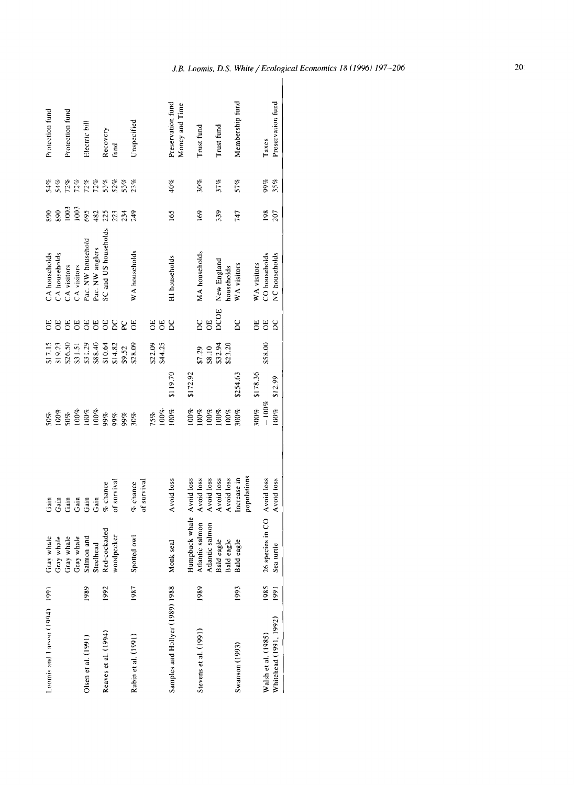| Leomis and Larson (1994) 1991   |      | Gray whale                                           | ີ້<br>ບໍ່ä  | 50%     |          | \$17.15              | 50          | CA households        | 890           | 54%                              | Protection fund   |
|---------------------------------|------|------------------------------------------------------|-------------|---------|----------|----------------------|-------------|----------------------|---------------|----------------------------------|-------------------|
|                                 |      |                                                      | Gain        | $100\%$ |          | \$19.23              | 8           | CA households        | 890           | 54%                              |                   |
|                                 |      | Gray whale<br>Gray whale<br>Gray whale<br>Salmon and | Gain        | $200\%$ |          | \$26.50              | 9E          | CA visitors          | $\frac{1}{2}$ | 72%                              | Protection fund   |
|                                 |      |                                                      |             | $100\%$ |          |                      | FO          | CA visitors          | 1003          |                                  |                   |
| Olsen et al. $(1991)$           | 1989 |                                                      | Gain        | $100\%$ |          | $$31.51$<br>$$31.29$ | 9E          | Pac. NW household    | 695           | <b>※ ※ %</b><br>2 2 2 7<br>2 2 7 | Electric bill     |
|                                 |      | Steelhead                                            | Gain        | $100\%$ |          | \$88.40              | θË          | Pac. NW anglers      | 482           |                                  |                   |
| Reaves et al. (1994)            | 1992 | Red-cockaded                                         | $%$ chance  | 30%     |          | \$10.64              | öË          | SC and US households | 225           | 53%                              | Recovery          |
|                                 |      | woodpecker                                           | of survival | $b66$   |          | \$14.82              | ပ္က         |                      | 223           | 52%                              | fund              |
|                                 |      |                                                      |             | 666     |          | \$9.52               | g           |                      | 234           | 53%                              |                   |
| Rubin et al. (1991)             | 1987 | $\overline{\mathbf{v}}$<br>Spotted                   | % chance    | 30%     |          | \$28.09              | ЭĞ          | WA households        | 249           | 23%                              | Unspecified       |
|                                 |      |                                                      | of survival |         |          |                      |             |                      |               |                                  |                   |
|                                 |      |                                                      |             | 75%     |          | \$22.09              | 5C          |                      |               |                                  |                   |
|                                 |      |                                                      |             | 100%    |          | \$44.25              | <b>B</b>    |                      |               |                                  |                   |
| Samples and Hollyer (1989) 1988 |      | Monk seal                                            | Avoid loss  | 100%    | \$119.70 |                      | δC          | HI households        | 165           | 40%                              | Preservation fund |
|                                 |      |                                                      |             |         |          |                      |             |                      |               |                                  | Money and Time    |
|                                 |      | Humpback whale Avoid loss                            |             | 100%    | \$172.92 |                      |             |                      |               |                                  |                   |
| Stevens et al. (1991)           | 1989 | salmon<br>Atlantic                                   | Avoid loss  | $100\%$ |          | \$7.29               | ΣC          | MA households        | 169           | 30%                              | Trust fund        |
|                                 |      | Atlantic salmon                                      | Avoid loss  | $100\%$ |          | \$8.10               | <b>SP</b>   |                      |               |                                  |                   |
|                                 |      |                                                      | Avoid loss  | $100\%$ |          | \$32.94              | <b>DCOE</b> | New England          | 339           | 37%                              | Trust fund        |
|                                 |      |                                                      | Avoid loss  | 100%    |          | \$23.20              |             | households           |               |                                  |                   |
| Swanson (1993)                  | 1993 | Bald eagle<br>Bald eagle<br>Bald eagle               | Increase in | 300%    | \$254.63 |                      | g           | WA visitors          | 747           | 57%                              | Membership fund   |
|                                 |      |                                                      | populations |         |          |                      |             |                      |               |                                  |                   |
|                                 |      |                                                      |             | 100%    | \$178.36 |                      | ă           | <b>WA</b> visitors   |               |                                  |                   |
| Walsh et al. (1985)             | 1985 | 26 species in CO Avoid loss                          |             | $-100%$ |          | \$58.00              | FO          | CO households        | 198           | 99%                              | Taxes             |
| Whitehead (1991, 1992)          | 1661 | Sea turtle                                           | Avoid loss  | 100%    | \$12.99  |                      | δČ          | NC households        | 207           | 35%                              | Preservation fund |
|                                 |      |                                                      |             |         |          |                      |             |                      |               |                                  |                   |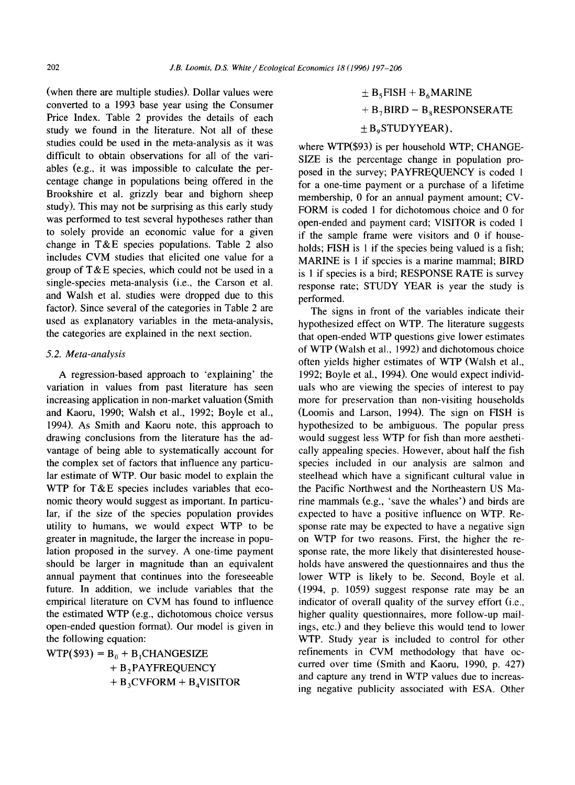(when there are multiple studies). Dollar values were converted to a 1993 base year using the Consumer Price Index. Table 2 provides the details of each study we found in the literature. Not all of these studies could be used in the meta-analysis as it was difficult to obtain observations for all of the variables (e.g., it was impossible to calculate the percentage change in populations being offered in the Brookshire et al. grizzly bear and bighorn sheep study). This may not be surprising as this early study was performed to test several hypotheses rather than to solely provide an economic value for a given change in T&E species populations. Table 2 also includes CVM studies that elicited one value for a group of T&E species, which could not be used in a single-species meta-analysis (i.e., the Carson et al. and Walsh et al. studies were dropped due to this factor). Since several of the categories in Table 2 are used as explanatory variables in the meta-analysis, the categories are explained in the next section.

#### *5.2. Meta-analysis*

A regression-based approach to 'explaining' the variation in values from past literature has seen increasing application in non-market valuation (Smith and Kaoru, 1990; Walsh et al., 1992; Boyle et al., 1994). As Smith and Kaoru note, this approach to drawing conclusions from the literature has the advantage of being able to systematically account for the complex set of factors that influence any particular estimate of WTP. Our basic model to explain the WTP for T&E species includes variables that economic theory would suggest as important. In particular, if the size of the species population provides utility to humans, we would expect WTP to be greater in magnitude, the larger the increase in population proposed in the survey. A one-time payment should be larger in magnitude than an equivalent annual payment that continues into the foreseeable future. In addition, we include variables that the empirical literature on CVM has found to influence the estimated WTP (e.g., dichotomous choice versus open-ended question format). Our model is given in the following equation:

 $WTP(\$93) = B_0 + B_1CHANGESIZE$ **B BAYEDEOUENCY** 

$$
+ B_2 P A I F K E Q U E N C I
$$

 $+ B_3$ CVFORM  $+ B_4$ VISITOR

 $\pm$  B<sub>5</sub>FISH + B<sub>6</sub>MARINE  $+ B_7 B$ IRD -  $B_8$ RESPONSERATE  $\pm$  B<sub>9</sub> STUDYYEAR),

where WTP(\$93) is per household WTP; CHANGE-SIZE is the percentage change in population proposed in the survey; PAYFREQUENCY is coded 1 for a one-time payment or a purchase of a lifetime membership, 0 for an annual payment amount; CV-FORM is coded 1 for dichotomous choice and 0 for open-ended and payment card; VISITOR is coded 1 if the sample frame were visitors and 0 if households; FISH is 1 if the species being valued is a fish; MARINE is l if species is a marine mammal; BIRD is 1 if species is a bird; RESPONSE RATE is survey response rate; STUDY YEAR is year the study is performed.

The signs in front of the variables indicate their hypothesized effect on WTP. The literature suggests that open-ended WTP questions give lower estimates of WTP (Walsh et al., 1992) and dichotomous choice often yields higher estimates of WTP (Walsh et al., 1992; Boyle et al., 1994). One would expect individuals who are viewing the species of interest to pay more for preservation than non-visiting households (Loomis and Larson, 1994). The sign on FISH is hypothesized to be ambiguous. The popular press would suggest less WTP for fish than more aesthetically appealing species. However, about half the fish species included in our analysis are salmon and steelhead which have a significant cultural value in the Pacific Northwest and the Northeastern US Marine mammals (e.g., 'save the whales') and birds are expected to have a positive influence on WTP. Response rate may be expected to have a negative sign on WTP for two reasons. First, the higher the response rate, the more likely that disinterested households have answered the questionnaires and thus the lower WTP is likely to be. Second, Boyle et al. (1994, p. 1059) suggest response rate may be an indicator of overall quality of the survey effort (i.e., higher quality questionnaires, more follow-up mailings, etc.) and they believe this would tend to lower WTP. Study year is included to control for other refinements in CVM methodology that have occurred over time (Smith and Kaoru, 1990, p. 427) and capture any trend in WTP values due to increasing negative publicity associated with ESA. Other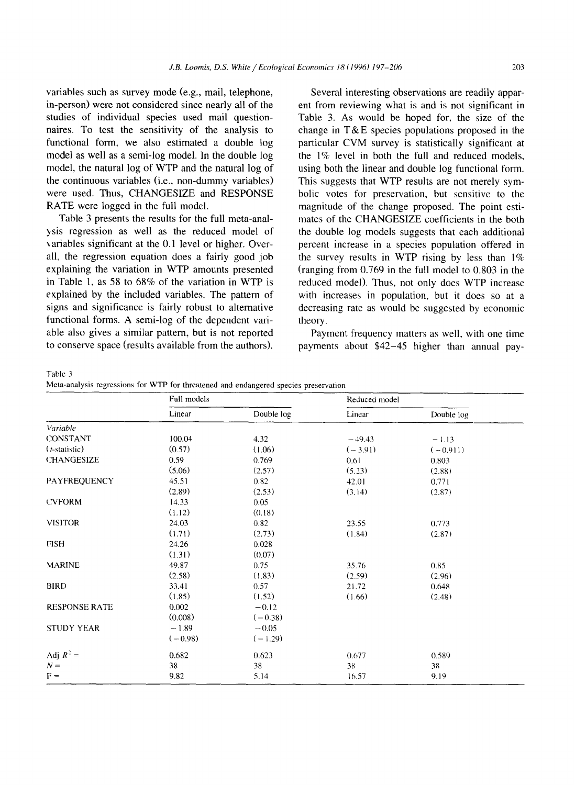variables such as survey mode (e.g., mail, telephone, in-person) were not considered since nearly all of the studies of individual species used mail questionnaires. To test the sensitivity of the analysis to functional form, we also estimated a double log model as well as a semi-log model. In the double log model, the natural log of WTP and the natural log of the continuous variables (i.e., non-dummy variables) were used. Thus, CHANGESIZE and RESPONSE RATE were logged in the full model.

Table 3 presents the results for the full meta-anal- )sis regression as well as the reduced model of variables significant at the 0.1 level or higher. Overall, the regression equation does a fairly good job explaining the variation in WTP amounts presented in Table 1, as 58 to 68% of the variation in WTP is explained by the included variables. The pattern of signs and significance is fairly robust to alternative functional forms. A semi-log of the dependent variable also gives a similar pattern, but is not reported to conserve space (results available from the authors).

Several interesting observations are readily apparent from reviewing what is and is not significant in Table 3. As would be hoped for, the size of the change in T&E species populations proposed in the particular CVM survey is statistically significant at the 1% level in both the full and reduced models, using both the linear and double log functional form. This suggests that WTP results are not merely symbolic votes for preservation, but sensitive to the magnitude of the change proposed. The point estimates of the CHANGESIZE coefficients in the both the double log models suggests that each additional percent increase in a species population offered in the survey results in WTP rising by less than  $1\%$ (ranging from  $0.769$  in the full model to  $0.803$  in the reduced model). Thus, not only does WTP increase with increases in population, but it does so at a decreasing rate as would be suggested by economic theory.

Payment frequency matters as well, with one time payments about \$42-45 higher than annual pay-

Table 3

| Meta-analysis regressions for WTP for threatened and endangered species preservation |  |  |  |
|--------------------------------------------------------------------------------------|--|--|--|
|--------------------------------------------------------------------------------------|--|--|--|

|                      | Full models |            | Reduced model |            |  |
|----------------------|-------------|------------|---------------|------------|--|
|                      | Linear      | Double log | Linear        | Double log |  |
| Variable             |             |            |               |            |  |
| <b>CONSTANT</b>      | 100.04      | 4.32       | $-49.43$      | $-1.13$    |  |
| $(t-statistic)$      | (0.57)      | (1.06)     | $(-3.91)$     | $(-0.911)$ |  |
| <b>CHANGESIZE</b>    | 0.59        | 0.769      | 0.61          | 0.803      |  |
|                      | (5.06)      | (2.57)     | (5.23)        | (2.88)     |  |
| <b>PAYFREQUENCY</b>  | 45.51       | 0.82       | 42.01         | 0.771      |  |
|                      | (2.89)      | (2.53)     | (3.14)        | (2.87)     |  |
| <b>CVFORM</b>        | 14.33       | 0.05       |               |            |  |
|                      | (1.12)      | (0.18)     |               |            |  |
| <b>VISITOR</b>       | 24.03       | 0.82       | 23.55         | 0.773      |  |
|                      | (1.71)      | (2.73)     | (1.84)        | (2.87)     |  |
| <b>FISH</b>          | 24.26       | 0.028      |               |            |  |
|                      | (1.31)      | (0.07)     |               |            |  |
| <b>MARINE</b>        | 49.87       | 0.75       | 35.76         | 0.85       |  |
|                      | (2.58)      | (1.83)     | (2.59)        | (2.96)     |  |
| BIRD                 | 33.41       | 0.57       | 21.72         | 0.648      |  |
|                      | (1.85)      | (1.52)     | (1.66)        | (2.48)     |  |
| <b>RESPONSE RATE</b> | 0.002       | $-0.12$    |               |            |  |
|                      | (0.008)     | $(-0.38)$  |               |            |  |
| <b>STUDY YEAR</b>    | $-1.89$     | $-0.05$    |               |            |  |
|                      | $(-0.98)$   | $(-1.29)$  |               |            |  |
| Adj $R^2$ =          | 0.682       | 0.623      | 0.677         | 0.589      |  |
| $N =$                | 38          | 38         | 38            | 38         |  |
| $F =$                | 9.82        | 5.14       | 16.57         | 9.19       |  |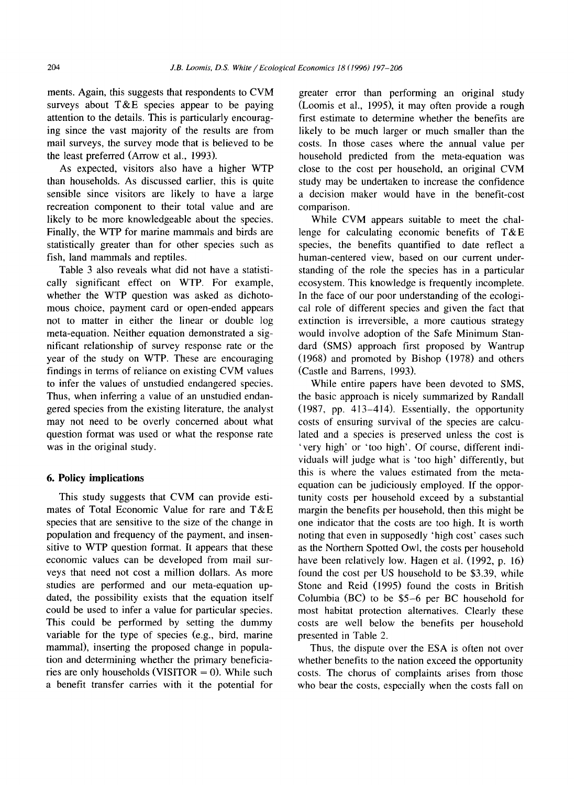ments. Again, this suggests that respondents to CVM surveys about  $T\&E$  species appear to be paying attention to the details. This is particularly encouraging since the vast majority of the results are from mail surveys, the survey mode that is believed to be the least preferred (Arrow et al., 1993).

As expected, visitors also have a higher WTP than households. As discussed earlier, this is quite sensible since visitors are likely to have a large recreation component to their total value and are likely to be more knowledgeable about the species. Finally, the WTP for marine mammals and birds are statistically greater than for other species such as fish, land mammals and reptiles.

Table 3 also reveals what did not have a statistically significant effect on WTP. For example, whether the WTP question was asked as dichotomous choice, payment card or open-ended appears not to matter in either the linear or double log meta-equation. Neither equation demonstrated a significant relationship of survey response rate or the year of the study on WTP. These are encouraging findings in terms of reliance on existing CVM values to infer the values of unstudied endangered species. Thus, when inferring a value of an unstudied endangered species from the existing literature, the analyst may not need to be overly concerned about what question format was used or what the response rate was in the original study.

#### **6. Policy implications**

This study suggests that CVM can provide estimates of Total Economic Value for rare and T&E species that are sensitive to the size of the change in population and frequency of the payment, and insensitive to WTP question format. It appears that these economic values can be developed from mail surveys that need not cost a million dollars. As more studies are performed and our meta-equation updated, the possibility exists that the equation itself could be used to infer a value for particular species. This could be performed by setting the dummy variable for the type of species (e.g., bird, marine mammal), inserting the proposed change in population and determining whether the primary beneficiaries are only households (VISITOR  $= 0$ ). While such a benefit transfer carries with it the potential for

greater error than performing an original study (Loomis et al., 1995), it may often provide a rough first estimate to determine whether the benefits are likely to be much larger or much smaller than the costs. In those cases where the annual value per household predicted from the meta-equation was close to the cost per household, an original CVM study may be undertaken to increase the confidence a decision maker would have in the benefit-cost comparison.

While CVM appears suitable to meet the challenge for calculating economic benefits of T&E species, the benefits quantified to date reflect a human-centered view, based on our current understanding of the role the species has in a particular ecosystem. This knowledge is frequently incomplete. In the face of our poor understanding of the ecological role of different species and given the fact that extinction is irreversible, a more cautious strategy would involve adoption of the Safe Minimum Standard (SMS) approach first proposed by Wantrup (1968) and promoted by Bishop (1978) and others (Castle and Barrens, 1993).

While entire papers have been devoted to SMS, the basic approach is nicely summarized by Randall (1987, pp. 413-414). Essentially, the opportunity costs of ensuring survival of the species are calculated and a species is preserved unless the cost is 'very high' or 'too high'. Of course, different individuals will judge what is 'too high' differently, but this is where the values estimated from the metaequation can he judiciously employed. If the opportunity costs per household exceed by a substantial margin the benefits per household, then this might be one indicator that the costs are too high. It is worth noting that even in supposedly 'high cost' cases such as the Northern Spotted Owl, the costs per household have been relatively low. Hagen et al. (1992, p. 16) found the cost per US household to be \$3.39, while Stone and Reid (1995) found the costs in British Columbia (BC) to be \$5-6 per BC household for most habitat protection alternatives. Clearly these costs are well below the benefits per household presented in Table 2.

Thus, the dispute over the ESA is often not over whether benefits to the nation exceed the opportunity costs. The chorus of complaints arises from those who bear the costs, especially when the costs fall on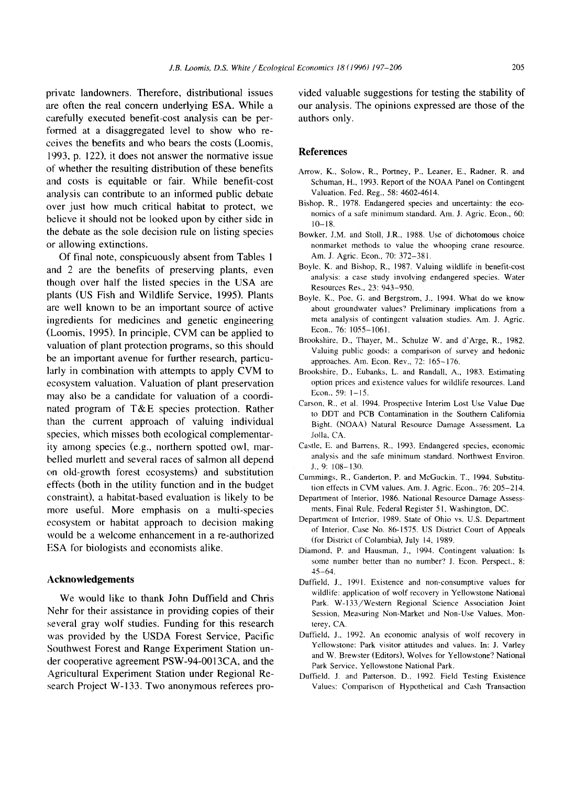private landowners. Therefore, distributional issues are often the real concern underlying ESA. While a carefully executed benefit-cost analysis can be performed at a disaggregated level to show who receives the benefits and who bears the costs (Loomis, 1993, p. 122), it does not answer the normative issue of whether the resulting distribution of these benefits and costs is equitable or fair. While benefit-cost analysis can contribute to an informed public debate over just how much critical habitat to protect, we believe it should not be looked upon by either side in the debate as the sole decision rule on listing species or allowing extinctions.

Of final note, conspicuously absent from Tables 1 and 2 are the benefits of preserving plants, even though over half the listed species in the USA are plants (US Fish and Wildlife Service, 1995). Plants are well known to be an important source of active ingredients for medicines and genetic engineering (Loomis, 1995). In principle, CVM can be applied to valuation of plant protection programs, so this should be an important avenue for further research, particularly in combination with attempts to apply CVM to ecosystem valuation. Valuation of plant preservation may also be a candidate for valuation of a coordinated program of T&E species protection. Rather than the current approach of valuing individual species, which misses both ecological complementarity among species (e.g., northern spotted owl, marbelled murlett and several races of salmon all depend on old-growth forest ecosystems) and substitution effects (both in the utility function and in the budget constraint), a habitat-based evaluation is likely to be more useful. More emphasis on a multi-species ecosystem or habitat approach to decision making would be a welcome enhancement in a re-authorized ESA for biologists and economists alike.

#### **Acknowledgements**

We would like to thank John Duffield and Chris Nehr for their assistance in providing copies of their several gray wolf studies. Funding for this research was provided by the USDA Forest Service, Pacific Southwest Forest and Range Experiment Station under cooperative agreement PSW-94-0013CA, and the Agricultural Experiment Station under Regional Research Project W-133. Two anonymous referees provided valuable suggestions for testing the stability of our analysis. The opinions expressed are those of the authors only.

#### **References**

- Arrow, K., Solow, R., Portney, P., Leaner, E., Radner, R. and Schuman, H., 1993. Report of the NOAA Panel on Contingent Valuation. Fed. Reg., 58: 4602-4614.
- Bishop, R., 1978. Endangered species and uncertainty: the economics of a safe minimum standard. Am. J. Agric. Econ., 60: 10-18.
- Bowker, J.M. and Stoll, J.R., 1988. Use of dichotomous choice nonmarket methods to value the whooping crane resource. Am. J. Agric. Econ., 70: 372-38t.
- Boyle, K. and Bishop, R., 1987. Valuing wildlife in benefit-cost analysis: a case study involving endangered species. Water Resources Res., 23: 943-950.
- Boyle, K., Poe, G. and Bergstrom, J., 1994. What do we know about groundwater values? Preliminary implications from a meta analysis of contingent valuation studies. Am. J. Agric. Econ., 76: 1055-1061.
- Brookshire. D., Thayer, M., Schulze W. and d'Arge, R., 1982. Valuing public goods: a comparison of survey and hedonic approaches. Am. Econ. Rev., 72: 165-176.
- Brookshire, D., Eubanks, L. and Randall, A., 1983. Estimating option prices and existence values for wildlife resources. Land Econ.,  $59:1 - 15$ .
- Carson, R., et al. 1994. Prospective Interim Lost Use Value Due to DDT and PCB Contamination in the Southern California Bight. (NOAA) Natural Resource Damage Assessment, La Jolla, CA.
- Castle, E. and Barrens, R., 1993. Endangered species, economic analysis and the safe minimum standard. Northwest Environ. J., 9: 108-130.
- Cummings, R., Ganderton, P. and McGuckin, T., 1994. Substitution effects in CVM values. Am. J. Agric. Econ., 76: 205-214.
- Department of Interior, 1986. National Resource Damage Assessments, Final Rule. Federal Register 5 I, Washington, DC.
- Department of Interior, 1989. State of Ohio vs. U.S. Department of Interior, Case No. 86-1575. US District Court of Appeals (for District of Columbia), July 14, 1989.
- Diamond, P. and Hausman, J., 1994. Contingent valuation: Is some number better than no number? J. Econ. Perspect., 8: 45-64.
- Duffield, J., 1991. Existence and non-consumptive values for wildlife: application of wolf recovery in Yellowstone National Park. W-133/Western Regional Science Association Joint Session, Measuring Non-Market and Non-Use Values, Monterey, CA.
- Duffield, J., 1992. An economic analysis of wolf recovery in Yellowstone: Park visitor attitudes and values. In: J. Varley and W. Brewster (Editors), Wolves for Yellowstone? National Park Service, Yellowstone National Park.
- Duffield, J. and Patterson, D., 1992. Field Testing Existence Values: Comparison of Hypothetical and Cash Transaction